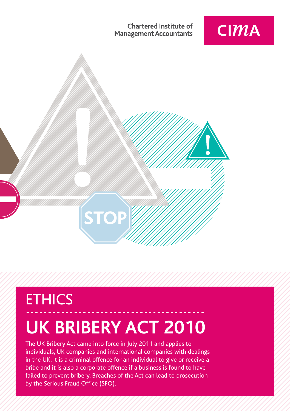**Chartered Institute of Management Accountants** 





# **ETHICS UK BRIBERY ACT 2010**

The UK Bribery Act came into force in July 2011 and applies to individuals, UK companies and international companies with dealings in the UK. It is a criminal offence for an individual to give or receive a bribe and it is also a corporate offence if a business is found to have failed to prevent bribery. Breaches of the Act can lead to prosecution by the Serious Fraud Office (SFO).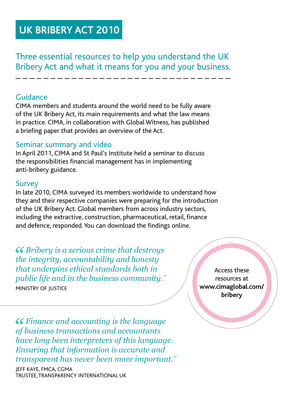## **UK BRIBERY ACT 2010**

Three essential resources to help you understand the UK Bribery Act and what it means for you and your business.

#### Guidance

CIMA members and students around the world need to be fully aware of the UK Bribery Act, its main requirements and what the law means in practice. CIMA, in collaboration with Global Witness, has published a briefing paper that provides an overview of the Act.

### Seminar summary and video

In April 2011, CIMA and St Paul's Institute held a seminar to discuss the responsibilities financial management has in implementing anti-bribery guidance.

#### Survey

In late 2010, CIMA surveyed its members worldwide to understand how they and their respective companies were preparing for the introduction of the UK Bribery Act. Global members from across industry sectors, including the extractive, construction, pharmaceutical, retail, finance and defence, responded. You can download the findings online.

*Bribery is a serious crime that destroys the integrity, accountability and honesty that underpins ethical standards both in public life and in the business community."* MINISTRY OF IUSTICE

Access these resources at **www.cimaglobal.com/ bribery**

*Finance and accounting is the language of business transactions and accountants have long been interpreters of this language. Ensuring that information is accurate and transparent has never been more important."*

Jeff Kaye, FMCA, CGMA Trustee, Transparency International UK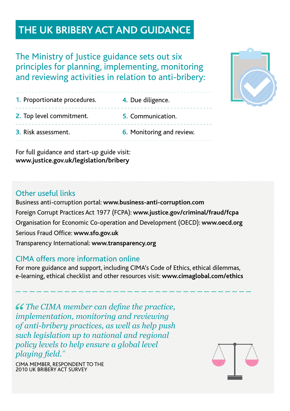## **The UK Bribery Act and guidancel**

The Ministry of Justice guidance sets out six principles for planning, implementing, monitoring and reviewing activities in relation to anti-bribery:

| 1. Proportionate procedures. | 4. Due diligence.         |
|------------------------------|---------------------------|
| 2. Top level commitment.     | 5. Communication.         |
| 3. Risk assessment.          | 6. Monitoring and review. |
|                              |                           |

For full guidance and start-up guide visit: **www.justice.gov.uk/legislation/bribery**

### Other useful links

Business anti-corruption portal: **www.business-anti-corruption.com** Foreign Corrupt Practices Act 1977 (FCPA): **www.justice.gov/criminal/fraud/fcpa**  Organisation for Economic Co-operation and Development (OECD): **www.oecd.org** Serious Fraud Office: **www.sfo.gov.uk** Transparency International: **www.transparency.org**

#### CIMA offers more information online

For more guidance and support, including CIMA's Code of Ethics, ethical dilemmas, e-learning, ethical checklist and other resources visit: **www.cimaglobal.com/ethics**

*The CIMA member can define the practice, implementation, monitoring and reviewing of anti-bribery practices, as well as help push such legislation up to national and regional policy levels to help ensure a global level playing field."*

CIMA Member, Respondent to the 2010 UK Bribery Act Survey